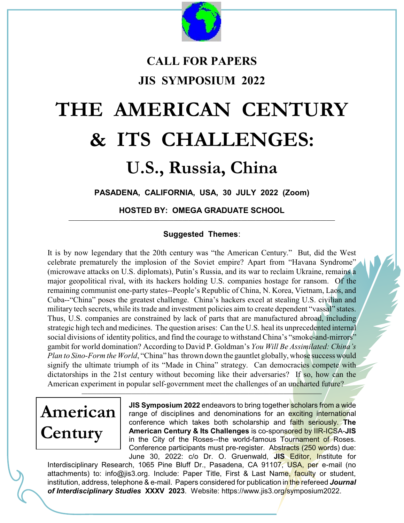

### **CALL FOR PAPERS JIS SYMPOSIUM 2022**

# **THE AMERICAN CENTURY & ITS CHALLENGES:**

## **U.S., Russia, China**

**PASADENA, CALIFORNIA, USA, 30 JULY 2022 (Zoom)**

**HOSTED BY: OMEGA GRADUATE SCHOOL** \_\_\_\_\_\_\_\_\_\_\_\_\_\_\_\_\_\_\_\_\_\_\_\_\_\_\_\_\_\_\_\_\_\_\_\_\_\_\_\_\_\_\_\_\_\_\_\_\_\_\_\_\_\_\_\_\_\_\_\_\_\_\_\_\_\_\_\_\_\_\_\_\_\_\_\_\_\_\_\_\_\_\_\_\_\_\_\_\_\_\_

#### **Suggested Themes**:

It is by now legendary that the 20th century was "the American Century." But, did the West celebrate prematurely the implosion of the Soviet empire? Apart from "Havana Syndrome" (microwave attacks on U.S. diplomats), Putin's Russia, and its war to reclaim Ukraine, remains a major geopolitical rival, with its hackers holding U.S. companies hostage for ransom. Of the remaining communist one-party states--People's Republic of China, N. Korea, Vietnam, Laos, and Cuba--"China" poses the greatest challenge. China's hackers excel at stealing U.S. civilian and military tech secrets, while its trade and investment policies aim to create dependent "vassal" states. Thus, U.S. companies are constrained by lack of parts that are manufactured abroad, including strategic high tech and medicines. The question arises: Can the U.S. heal its unprecedented internal social divisions of identity politics, and find the courage to withstand China's "smoke-and-mirrors" gambit for world domination? According to David P. Goldman's *You Will Be Assimilated: China's Plan to Sino-Form the World*, "China" has thrown down the gauntlet globally, whose success would signify the ultimate triumph of its "Made in China" strategy. Can democracies compete with dictatorships in the 21st century without becoming like their adversaries? If so, how can the American experiment in popular self-government meet the challenges of an uncharted future?

 $\_$  , and the state of the state of the state of the state of the state of the state of the state of the state of the state of the state of the state of the state of the state of the state of the state of the state of the

## **American Century**

**JIS Symposium 2022** endeavors to bring together scholars from a wide range of disciplines and denominations for an exciting international conference which takes both scholarship and faith seriously. **The American Century & Its Challenges** is co-sponsored by IIR-ICSA-**JIS** in the City of the Roses--the world-famous Tournament of Roses. Conference participants must pre-register. Abstracts (250 words) due: June 30, 2022: c/o Dr. O. Gruenwald, **JIS** Editor, Institute for

Interdisciplinary Research, 1065 Pine Bluff Dr., Pasadena, CA 91107, USA, per e-mail (no attachments) to: info@jis3.org. Include: Paper Title, First & Last Name, faculty or student, institution, address, telephone & e-mail. Papers considered for publication in the refereed *Journal of Interdisciplinary Studies* **XXXV 2023**. Website: https://www.jis3.org/symposium2022.